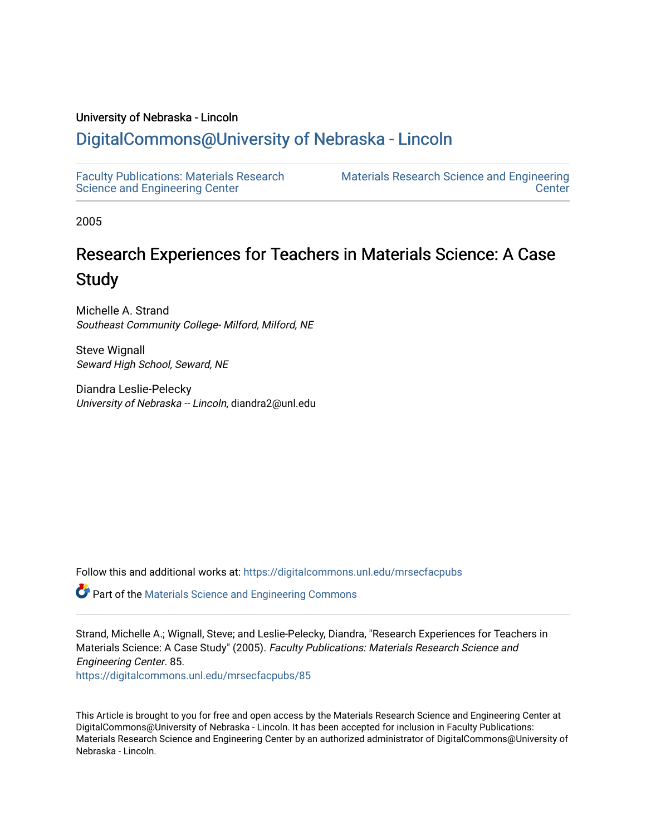#### University of Nebraska - Lincoln

# [DigitalCommons@University of Nebraska - Lincoln](https://digitalcommons.unl.edu/)

[Faculty Publications: Materials Research](https://digitalcommons.unl.edu/mrsecfacpubs)  Science and Engineering Center

[Materials Research Science and Engineering](https://digitalcommons.unl.edu/materialsresearchscieeng)  **Center** 

2005

# Research Experiences for Teachers in Materials Science: A Case **Study**

Michelle A. Strand Southeast Community College- Milford, Milford, NE

Steve Wignall Seward High School, Seward, NE

Diandra Leslie-Pelecky University of Nebraska -- Lincoln, diandra2@unl.edu

Follow this and additional works at: [https://digitalcommons.unl.edu/mrsecfacpubs](https://digitalcommons.unl.edu/mrsecfacpubs?utm_source=digitalcommons.unl.edu%2Fmrsecfacpubs%2F85&utm_medium=PDF&utm_campaign=PDFCoverPages) 

Part of the [Materials Science and Engineering Commons](http://network.bepress.com/hgg/discipline/285?utm_source=digitalcommons.unl.edu%2Fmrsecfacpubs%2F85&utm_medium=PDF&utm_campaign=PDFCoverPages) 

Strand, Michelle A.; Wignall, Steve; and Leslie-Pelecky, Diandra, "Research Experiences for Teachers in Materials Science: A Case Study" (2005). Faculty Publications: Materials Research Science and Engineering Center. 85. [https://digitalcommons.unl.edu/mrsecfacpubs/85](https://digitalcommons.unl.edu/mrsecfacpubs/85?utm_source=digitalcommons.unl.edu%2Fmrsecfacpubs%2F85&utm_medium=PDF&utm_campaign=PDFCoverPages) 

This Article is brought to you for free and open access by the Materials Research Science and Engineering Center at DigitalCommons@University of Nebraska - Lincoln. It has been accepted for inclusion in Faculty Publications: Materials Research Science and Engineering Center by an authorized administrator of DigitalCommons@University of Nebraska - Lincoln.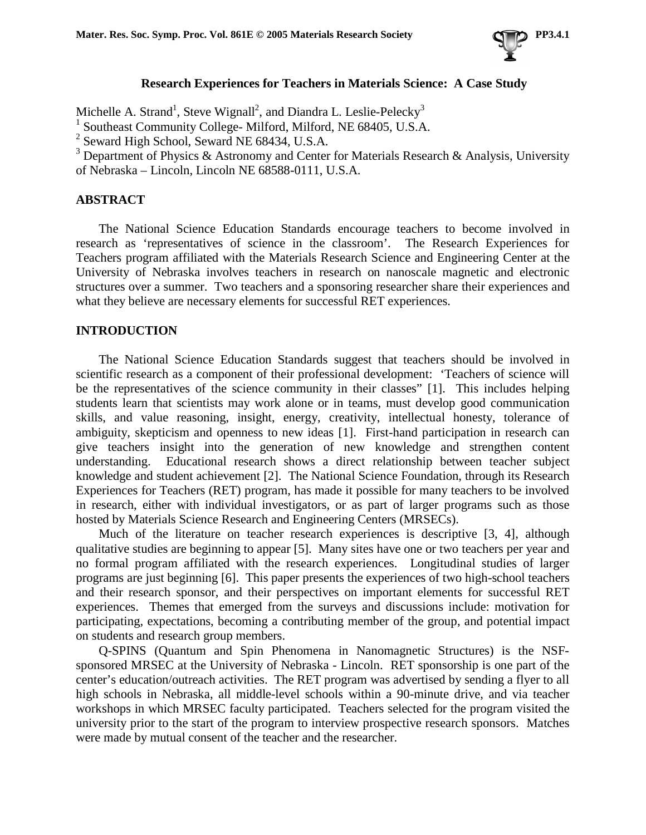

#### **Research Experiences for Teachers in Materials Science: A Case Study**

Michelle A. Strand<sup>1</sup>, Steve Wignall<sup>2</sup>, and Diandra L. Leslie-Pelecky<sup>3</sup>

1 Southeast Community College- Milford, Milford, NE 68405, U.S.A.

<sup>2</sup> Seward High School, Seward NE 68434, U.S.A.

<sup>3</sup> Department of Physics & Astronomy and Center for Materials Research & Analysis, University of Nebraska – Lincoln, Lincoln NE 68588-0111, U.S.A.

## **ABSTRACT**

The National Science Education Standards encourage teachers to become involved in research as 'representatives of science in the classroom'. The Research Experiences for Teachers program affiliated with the Materials Research Science and Engineering Center at the University of Nebraska involves teachers in research on nanoscale magnetic and electronic structures over a summer. Two teachers and a sponsoring researcher share their experiences and what they believe are necessary elements for successful RET experiences.

# **INTRODUCTION**

The National Science Education Standards suggest that teachers should be involved in scientific research as a component of their professional development: 'Teachers of science will be the representatives of the science community in their classes" [1]. This includes helping students learn that scientists may work alone or in teams, must develop good communication skills, and value reasoning, insight, energy, creativity, intellectual honesty, tolerance of ambiguity, skepticism and openness to new ideas [1]. First-hand participation in research can give teachers insight into the generation of new knowledge and strengthen content understanding. Educational research shows a direct relationship between teacher subject knowledge and student achievement [2]. The National Science Foundation, through its Research Experiences for Teachers (RET) program, has made it possible for many teachers to be involved in research, either with individual investigators, or as part of larger programs such as those hosted by Materials Science Research and Engineering Centers (MRSECs).

Much of the literature on teacher research experiences is descriptive [3, 4], although qualitative studies are beginning to appear [5]. Many sites have one or two teachers per year and no formal program affiliated with the research experiences. Longitudinal studies of larger programs are just beginning [6]. This paper presents the experiences of two high-school teachers and their research sponsor, and their perspectives on important elements for successful RET experiences. Themes that emerged from the surveys and discussions include: motivation for participating, expectations, becoming a contributing member of the group, and potential impact on students and research group members.

Q-SPINS (Quantum and Spin Phenomena in Nanomagnetic Structures) is the NSFsponsored MRSEC at the University of Nebraska - Lincoln. RET sponsorship is one part of the center's education/outreach activities. The RET program was advertised by sending a flyer to all high schools in Nebraska, all middle-level schools within a 90-minute drive, and via teacher workshops in which MRSEC faculty participated. Teachers selected for the program visited the university prior to the start of the program to interview prospective research sponsors. Matches were made by mutual consent of the teacher and the researcher.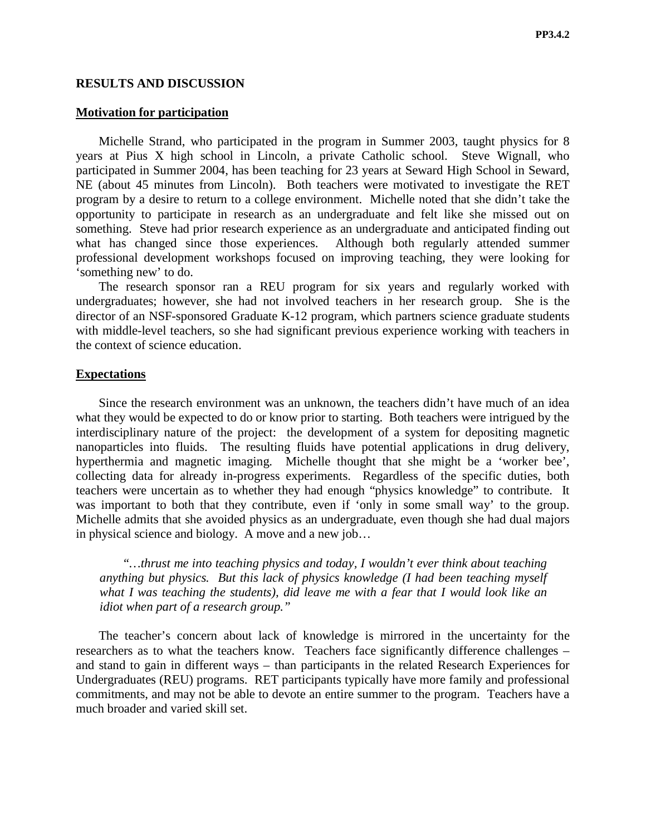### **RESULTS AND DISCUSSION**

#### **Motivation for participation**

Michelle Strand, who participated in the program in Summer 2003, taught physics for 8 years at Pius X high school in Lincoln, a private Catholic school. Steve Wignall, who participated in Summer 2004, has been teaching for 23 years at Seward High School in Seward, NE (about 45 minutes from Lincoln). Both teachers were motivated to investigate the RET program by a desire to return to a college environment. Michelle noted that she didn't take the opportunity to participate in research as an undergraduate and felt like she missed out on something. Steve had prior research experience as an undergraduate and anticipated finding out what has changed since those experiences. Although both regularly attended summer professional development workshops focused on improving teaching, they were looking for 'something new' to do.

The research sponsor ran a REU program for six years and regularly worked with undergraduates; however, she had not involved teachers in her research group. She is the director of an NSF-sponsored Graduate K-12 program, which partners science graduate students with middle-level teachers, so she had significant previous experience working with teachers in the context of science education.

#### **Expectations**

Since the research environment was an unknown, the teachers didn't have much of an idea what they would be expected to do or know prior to starting. Both teachers were intrigued by the interdisciplinary nature of the project: the development of a system for depositing magnetic nanoparticles into fluids. The resulting fluids have potential applications in drug delivery, hyperthermia and magnetic imaging. Michelle thought that she might be a 'worker bee', collecting data for already in-progress experiments. Regardless of the specific duties, both teachers were uncertain as to whether they had enough "physics knowledge" to contribute. It was important to both that they contribute, even if 'only in some small way' to the group. Michelle admits that she avoided physics as an undergraduate, even though she had dual majors in physical science and biology. A move and a new job…

*"…thrust me into teaching physics and today, I wouldn't ever think about teaching anything but physics. But this lack of physics knowledge (I had been teaching myself what I was teaching the students), did leave me with a fear that I would look like an idiot when part of a research group."* 

The teacher's concern about lack of knowledge is mirrored in the uncertainty for the researchers as to what the teachers know. Teachers face significantly difference challenges – and stand to gain in different ways – than participants in the related Research Experiences for Undergraduates (REU) programs. RET participants typically have more family and professional commitments, and may not be able to devote an entire summer to the program. Teachers have a much broader and varied skill set.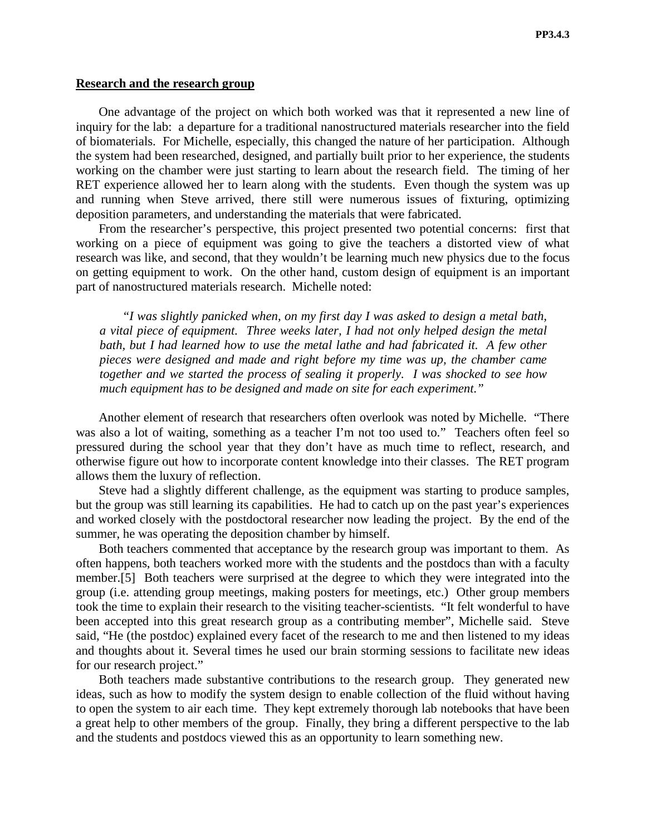#### **Research and the research group**

One advantage of the project on which both worked was that it represented a new line of inquiry for the lab: a departure for a traditional nanostructured materials researcher into the field of biomaterials. For Michelle, especially, this changed the nature of her participation. Although the system had been researched, designed, and partially built prior to her experience, the students working on the chamber were just starting to learn about the research field. The timing of her RET experience allowed her to learn along with the students. Even though the system was up and running when Steve arrived, there still were numerous issues of fixturing, optimizing deposition parameters, and understanding the materials that were fabricated.

From the researcher's perspective, this project presented two potential concerns: first that working on a piece of equipment was going to give the teachers a distorted view of what research was like, and second, that they wouldn't be learning much new physics due to the focus on getting equipment to work. On the other hand, custom design of equipment is an important part of nanostructured materials research. Michelle noted:

*"I was slightly panicked when, on my first day I was asked to design a metal bath, a vital piece of equipment. Three weeks later, I had not only helped design the metal bath, but I had learned how to use the metal lathe and had fabricated it. A few other pieces were designed and made and right before my time was up, the chamber came together and we started the process of sealing it properly. I was shocked to see how much equipment has to be designed and made on site for each experiment."* 

Another element of research that researchers often overlook was noted by Michelle. "There was also a lot of waiting, something as a teacher I'm not too used to." Teachers often feel so pressured during the school year that they don't have as much time to reflect, research, and otherwise figure out how to incorporate content knowledge into their classes. The RET program allows them the luxury of reflection.

Steve had a slightly different challenge, as the equipment was starting to produce samples, but the group was still learning its capabilities. He had to catch up on the past year's experiences and worked closely with the postdoctoral researcher now leading the project. By the end of the summer, he was operating the deposition chamber by himself.

Both teachers commented that acceptance by the research group was important to them. As often happens, both teachers worked more with the students and the postdocs than with a faculty member.[5] Both teachers were surprised at the degree to which they were integrated into the group (i.e. attending group meetings, making posters for meetings, etc.) Other group members took the time to explain their research to the visiting teacher-scientists. "It felt wonderful to have been accepted into this great research group as a contributing member", Michelle said. Steve said, "He (the postdoc) explained every facet of the research to me and then listened to my ideas and thoughts about it. Several times he used our brain storming sessions to facilitate new ideas for our research project."

Both teachers made substantive contributions to the research group. They generated new ideas, such as how to modify the system design to enable collection of the fluid without having to open the system to air each time. They kept extremely thorough lab notebooks that have been a great help to other members of the group. Finally, they bring a different perspective to the lab and the students and postdocs viewed this as an opportunity to learn something new.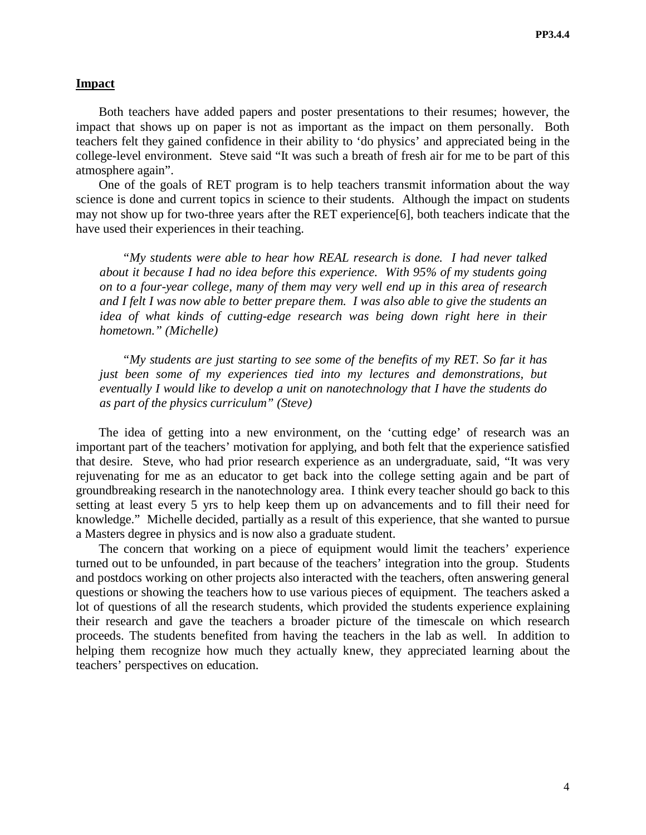#### **Impact**

Both teachers have added papers and poster presentations to their resumes; however, the impact that shows up on paper is not as important as the impact on them personally. Both teachers felt they gained confidence in their ability to 'do physics' and appreciated being in the college-level environment. Steve said "It was such a breath of fresh air for me to be part of this atmosphere again".

One of the goals of RET program is to help teachers transmit information about the way science is done and current topics in science to their students. Although the impact on students may not show up for two-three years after the RET experience[6], both teachers indicate that the have used their experiences in their teaching.

*"My students were able to hear how REAL research is done. I had never talked about it because I had no idea before this experience. With 95% of my students going on to a four-year college, many of them may very well end up in this area of research and I felt I was now able to better prepare them. I was also able to give the students an idea of what kinds of cutting-edge research was being down right here in their hometown." (Michelle)* 

*"My students are just starting to see some of the benefits of my RET. So far it has just been some of my experiences tied into my lectures and demonstrations, but eventually I would like to develop a unit on nanotechnology that I have the students do as part of the physics curriculum" (Steve)* 

The idea of getting into a new environment, on the 'cutting edge' of research was an important part of the teachers' motivation for applying, and both felt that the experience satisfied that desire. Steve, who had prior research experience as an undergraduate, said, "It was very rejuvenating for me as an educator to get back into the college setting again and be part of groundbreaking research in the nanotechnology area. I think every teacher should go back to this setting at least every 5 yrs to help keep them up on advancements and to fill their need for knowledge." Michelle decided, partially as a result of this experience, that she wanted to pursue a Masters degree in physics and is now also a graduate student.

The concern that working on a piece of equipment would limit the teachers' experience turned out to be unfounded, in part because of the teachers' integration into the group. Students and postdocs working on other projects also interacted with the teachers, often answering general questions or showing the teachers how to use various pieces of equipment. The teachers asked a lot of questions of all the research students, which provided the students experience explaining their research and gave the teachers a broader picture of the timescale on which research proceeds. The students benefited from having the teachers in the lab as well. In addition to helping them recognize how much they actually knew, they appreciated learning about the teachers' perspectives on education.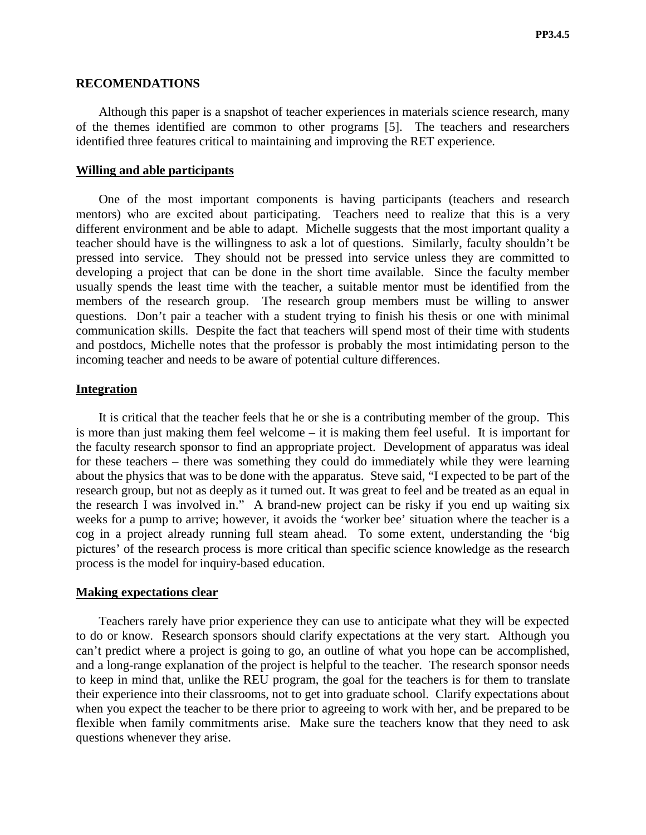#### **RECOMENDATIONS**

Although this paper is a snapshot of teacher experiences in materials science research, many of the themes identified are common to other programs [5]. The teachers and researchers identified three features critical to maintaining and improving the RET experience.

#### **Willing and able participants**

One of the most important components is having participants (teachers and research mentors) who are excited about participating. Teachers need to realize that this is a very different environment and be able to adapt. Michelle suggests that the most important quality a teacher should have is the willingness to ask a lot of questions. Similarly, faculty shouldn't be pressed into service. They should not be pressed into service unless they are committed to developing a project that can be done in the short time available. Since the faculty member usually spends the least time with the teacher, a suitable mentor must be identified from the members of the research group. The research group members must be willing to answer questions. Don't pair a teacher with a student trying to finish his thesis or one with minimal communication skills. Despite the fact that teachers will spend most of their time with students and postdocs, Michelle notes that the professor is probably the most intimidating person to the incoming teacher and needs to be aware of potential culture differences.

#### **Integration**

It is critical that the teacher feels that he or she is a contributing member of the group. This is more than just making them feel welcome – it is making them feel useful. It is important for the faculty research sponsor to find an appropriate project. Development of apparatus was ideal for these teachers – there was something they could do immediately while they were learning about the physics that was to be done with the apparatus. Steve said, "I expected to be part of the research group, but not as deeply as it turned out. It was great to feel and be treated as an equal in the research I was involved in." A brand-new project can be risky if you end up waiting six weeks for a pump to arrive; however, it avoids the 'worker bee' situation where the teacher is a cog in a project already running full steam ahead. To some extent, understanding the 'big pictures' of the research process is more critical than specific science knowledge as the research process is the model for inquiry-based education.

#### **Making expectations clear**

Teachers rarely have prior experience they can use to anticipate what they will be expected to do or know. Research sponsors should clarify expectations at the very start. Although you can't predict where a project is going to go, an outline of what you hope can be accomplished, and a long-range explanation of the project is helpful to the teacher. The research sponsor needs to keep in mind that, unlike the REU program, the goal for the teachers is for them to translate their experience into their classrooms, not to get into graduate school. Clarify expectations about when you expect the teacher to be there prior to agreeing to work with her, and be prepared to be flexible when family commitments arise. Make sure the teachers know that they need to ask questions whenever they arise.